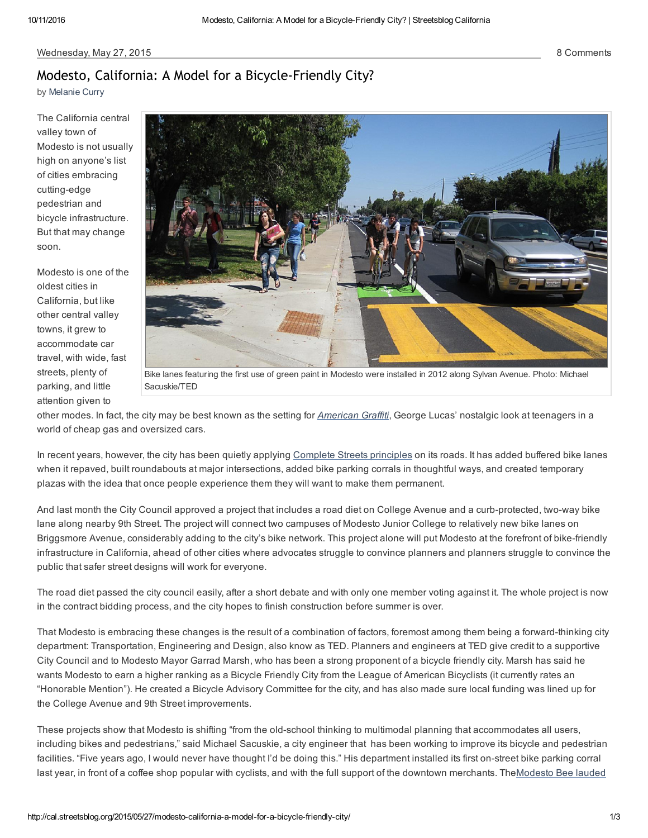by [Melanie](http://cal.streetsblog.org/author/melanie-curry/) Curry

The California central valley town of Modesto is not usually high on anyone's list of cities embracing cutting-edge pedestrian and bicycle infrastructure. But that may change soon.

Modesto is one of the oldest cities in California, but like other central valley towns, it grew to accommodate car travel, with wide, fast streets, plenty of parking, and little attention given to



Bike lanes [featuring](http://cal.streetsblog.org/wp-content/uploads/sites/13/2015/05/Sylvan_Bikes.jpg) the first use of green paint in Modesto were installed in 2012 along Sylvan Avenue. Photo: Michael Sacuskie/TED

other modes. In fact, the city may be best known as the setting for *[American](http://lucasfilm.com/american-graffiti) Graffiti*, George Lucas' nostalgic look at teenagers in a world of cheap gas and oversized cars.

In recent years, however, the city has been quietly applying [Complete](http://www.smartgrowthamerica.org/complete-streets/complete-streets-fundamentals/complete-streets-faq) Streets principles on its roads. It has added buffered bike lanes when it repaved, built roundabouts at major intersections, added bike parking corrals in thoughtful ways, and created temporary plazas with the idea that once people experience them they will want to make them permanent.

And last month the City Council approved a project that includes a road diet on College Avenue and a curb-protected, two-way bike lane along nearby 9th Street. The project will connect two campuses of Modesto Junior College to relatively new bike lanes on Briggsmore Avenue, considerably adding to the city's bike network. This project alone will put Modesto at the forefront of bike-friendly infrastructure in California, ahead of other cities where advocates struggle to convince planners and planners struggle to convince the public that safer street designs will work for everyone.

The road diet passed the city council easily, after a short debate and with only one member voting against it. The whole project is now in the contract bidding process, and the city hopes to finish construction before summer is over.

That Modesto is embracing these changes is the result of a combination of factors, foremost among them being a forward-thinking city department: Transportation, Engineering and Design, also know as TED. Planners and engineers at TED give credit to a supportive City Council and to Modesto Mayor Garrad Marsh, who has been a strong proponent of a bicycle friendly city. Marsh has said he wants Modesto to earn a higher ranking as a Bicycle Friendly City from the League of American Bicyclists (it currently rates an "Honorable Mention"). He created a Bicycle Advisory Committee for the city, and has also made sure local funding was lined up for the College Avenue and 9th Street improvements.

These projects show that Modesto is shifting "from the old-school thinking to multimodal planning that accommodates all users, including bikes and pedestrians," said Michael Sacuskie, a city engineer that has been working to improve its bicycle and pedestrian facilities. "Five years ago, I would never have thought I'd be doing this." His department installed its first on-street bike parking corral last year, in front of a coffee shop popular with cyclists, and with the full support of the downtown merchants. [TheModesto](http://www.modbee.com/opinion/editorials/article3161335.html) Bee lauded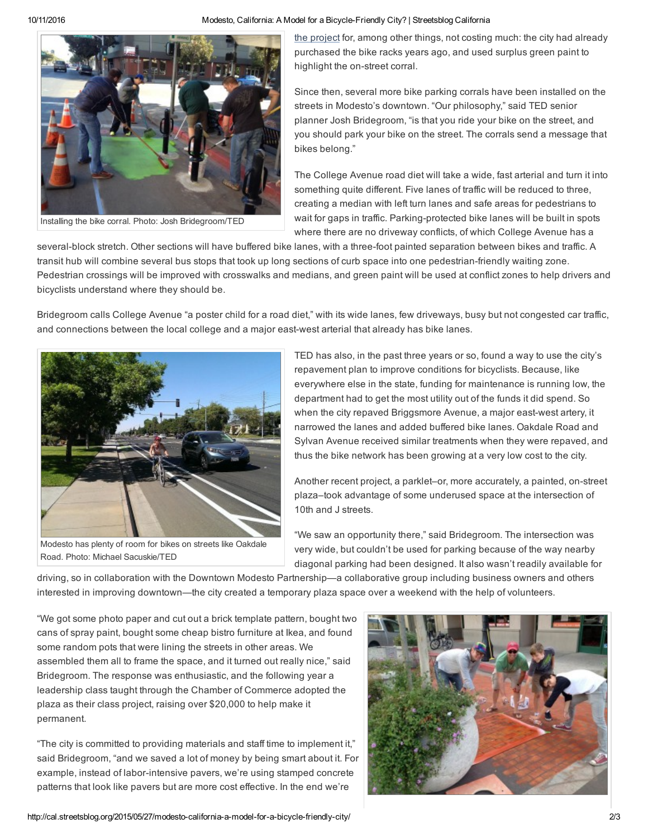10/11/2016 **Modesto, California: A Model for a Bicycle-Friendly City?** | Streetsblog California



Installing the bike corral. Photo: Josh Bridegroom/TED

the project for, among other things, not costing much: the city had [already](http://www.modbee.com/opinion/editorials/article3161335.html) purchased the bike racks years ago, and used surplus green paint to highlight the on-street corral.

Since then, several more bike parking corrals have been installed on the streets in Modesto's downtown. "Our philosophy," said TED senior planner Josh Bridegroom, "is that you ride your bike on the street, and you should park your bike on the street. The corrals send a message that bikes belong."

The College Avenue road diet will take a wide, fast arterial and turn it into something quite different. Five lanes of traffic will be reduced to three, creating a median with left turn lanes and safe areas for pedestrians to wait for gaps in traffic. Parking-protected bike lanes will be built in spots where there are no driveway conflicts, of which College Avenue has a

several-block stretch. Other sections will have buffered bike lanes, with a three-foot painted separation between bikes and traffic. A transit hub will combine several bus stops that took up long sections of curb space into one pedestrian-friendly waiting zone. Pedestrian crossings will be improved with crosswalks and medians, and green paint will be used at conflict zones to help drivers and bicyclists understand where they should be.

Bridegroom calls College Avenue "a poster child for a road diet," with its wide lanes, few driveways, busy but not congested car traffic, and connections between the local college and a major east-west arterial that already has bike lanes.



Modesto has plenty of room for bikes on streets like Oakdale Road. Photo: Michael Sacuskie/TED

TED has also, in the past three years or so, found a way to use the city's repavement plan to improve conditions for bicyclists. Because, like everywhere else in the state, funding for maintenance is running low, the department had to get the most utility out of the funds it did spend. So when the city repaved Briggsmore Avenue, a major east-west artery, it narrowed the lanes and added buffered bike lanes. Oakdale Road and Sylvan Avenue received similar treatments when they were repaved, and thus the bike network has been growing at a very low cost to the city.

Another recent project, a parklet–or, more accurately, a painted, on-street plaza–took advantage of some underused space at the intersection of 10th and J streets.

"We saw an opportunity there," said Bridegroom. The intersection was very wide, but couldn't be used for parking because of the way nearby diagonal parking had been designed. It also wasn't readily available for

driving, so in collaboration with the Downtown Modesto Partnership—a collaborative group including business owners and others interested in improving downtown—the city created a temporary plaza space over a weekend with the help of volunteers.

"We got some photo paper and cut out a brick template pattern, bought two cans of spray paint, bought some cheap bistro furniture at Ikea, and found some random pots that were lining the streets in other areas. We assembled them all to frame the space, and it turned out really nice," said Bridegroom. The response was enthusiastic, and the following year a leadership class taught through the Chamber of Commerce adopted the plaza as their class project, raising over \$20,000 to help make it permanent.

"The city is committed to providing materials and staff time to implement it," said Bridegroom, "and we saved a lot of money by being smart about it. For example, instead of labor-intensive pavers, we're using stamped concrete patterns that look like pavers but are more cost effective. In the end we're